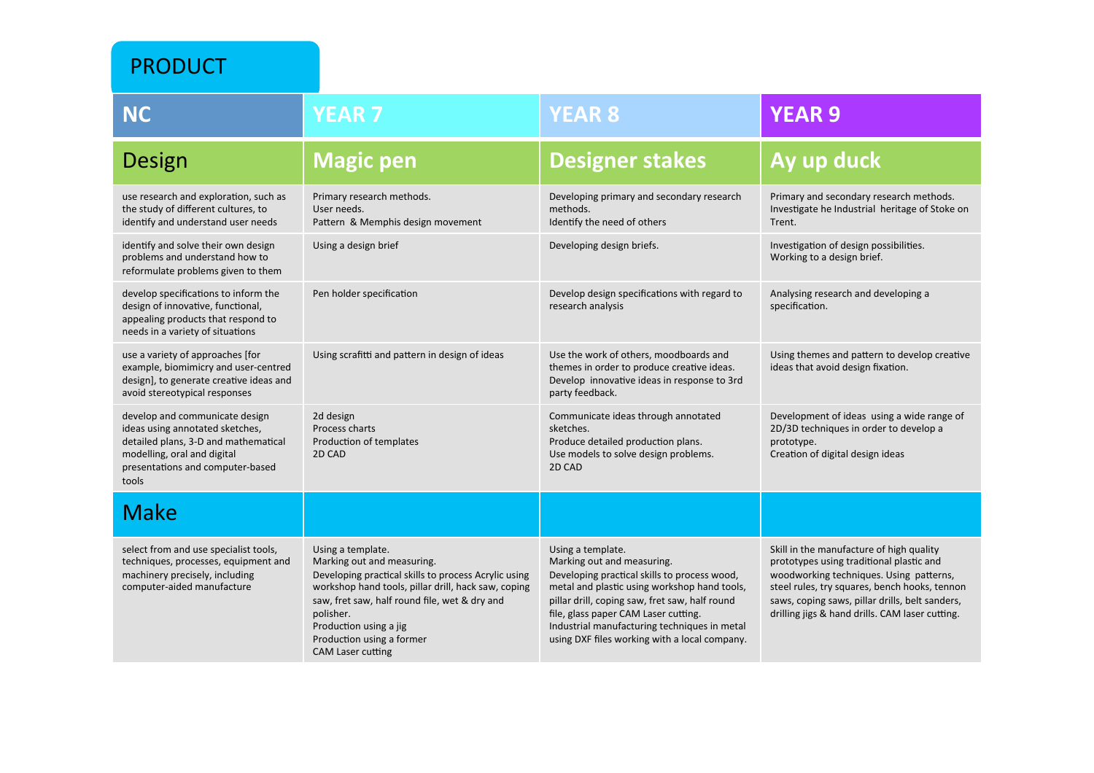PRODUCT 

| <b>NC</b>                                                                                                                                                                             | <b>YEAR 7</b>                                                                                                                                                                                                                                                                                                   | <b>YEAR 8</b>                                                                                                                                                                                                                                                                                                                              | <b>YEAR 9</b>                                                                                                                                                                                                                                                                          |
|---------------------------------------------------------------------------------------------------------------------------------------------------------------------------------------|-----------------------------------------------------------------------------------------------------------------------------------------------------------------------------------------------------------------------------------------------------------------------------------------------------------------|--------------------------------------------------------------------------------------------------------------------------------------------------------------------------------------------------------------------------------------------------------------------------------------------------------------------------------------------|----------------------------------------------------------------------------------------------------------------------------------------------------------------------------------------------------------------------------------------------------------------------------------------|
| Design                                                                                                                                                                                | <b>Magic pen</b>                                                                                                                                                                                                                                                                                                | <b>Designer stakes</b>                                                                                                                                                                                                                                                                                                                     | Ay up duck                                                                                                                                                                                                                                                                             |
| use research and exploration, such as<br>the study of different cultures, to<br>identify and understand user needs                                                                    | Primary research methods.<br>User needs.<br>Pattern & Memphis design movement                                                                                                                                                                                                                                   | Developing primary and secondary research<br>methods.<br>Identify the need of others                                                                                                                                                                                                                                                       | Primary and secondary research methods.<br>Investigate he Industrial heritage of Stoke on<br>Trent.                                                                                                                                                                                    |
| identify and solve their own design<br>problems and understand how to<br>reformulate problems given to them                                                                           | Using a design brief                                                                                                                                                                                                                                                                                            | Developing design briefs.                                                                                                                                                                                                                                                                                                                  | Investigation of design possibilities.<br>Working to a design brief.                                                                                                                                                                                                                   |
| develop specifications to inform the<br>design of innovative, functional,<br>appealing products that respond to<br>needs in a variety of situations                                   | Pen holder specification                                                                                                                                                                                                                                                                                        | Develop design specifications with regard to<br>research analysis                                                                                                                                                                                                                                                                          | Analysing research and developing a<br>specification.                                                                                                                                                                                                                                  |
| use a variety of approaches [for<br>example, biomimicry and user-centred<br>design], to generate creative ideas and<br>avoid stereotypical responses                                  | Using scrafitti and pattern in design of ideas                                                                                                                                                                                                                                                                  | Use the work of others, moodboards and<br>themes in order to produce creative ideas.<br>Develop innovative ideas in response to 3rd<br>party feedback.                                                                                                                                                                                     | Using themes and pattern to develop creative<br>ideas that avoid design fixation.                                                                                                                                                                                                      |
| develop and communicate design<br>ideas using annotated sketches,<br>detailed plans, 3-D and mathematical<br>modelling, oral and digital<br>presentations and computer-based<br>tools | 2d design<br>Process charts<br>Production of templates<br>2D CAD                                                                                                                                                                                                                                                | Communicate ideas through annotated<br>sketches.<br>Produce detailed production plans.<br>Use models to solve design problems.<br>2D CAD                                                                                                                                                                                                   | Development of ideas using a wide range of<br>2D/3D techniques in order to develop a<br>prototype.<br>Creation of digital design ideas                                                                                                                                                 |
| <b>Make</b>                                                                                                                                                                           |                                                                                                                                                                                                                                                                                                                 |                                                                                                                                                                                                                                                                                                                                            |                                                                                                                                                                                                                                                                                        |
| select from and use specialist tools,<br>techniques, processes, equipment and<br>machinery precisely, including<br>computer-aided manufacture                                         | Using a template.<br>Marking out and measuring.<br>Developing practical skills to process Acrylic using<br>workshop hand tools, pillar drill, hack saw, coping<br>saw, fret saw, half round file, wet & dry and<br>polisher.<br>Production using a jig<br>Production using a former<br><b>CAM Laser cutting</b> | Using a template.<br>Marking out and measuring.<br>Developing practical skills to process wood,<br>metal and plastic using workshop hand tools,<br>pillar drill, coping saw, fret saw, half round<br>file, glass paper CAM Laser cutting.<br>Industrial manufacturing techniques in metal<br>using DXF files working with a local company. | Skill in the manufacture of high quality<br>prototypes using traditional plastic and<br>woodworking techniques. Using patterns,<br>steel rules, try squares, bench hooks, tennon<br>saws, coping saws, pillar drills, belt sanders,<br>drilling jigs & hand drills. CAM laser cutting. |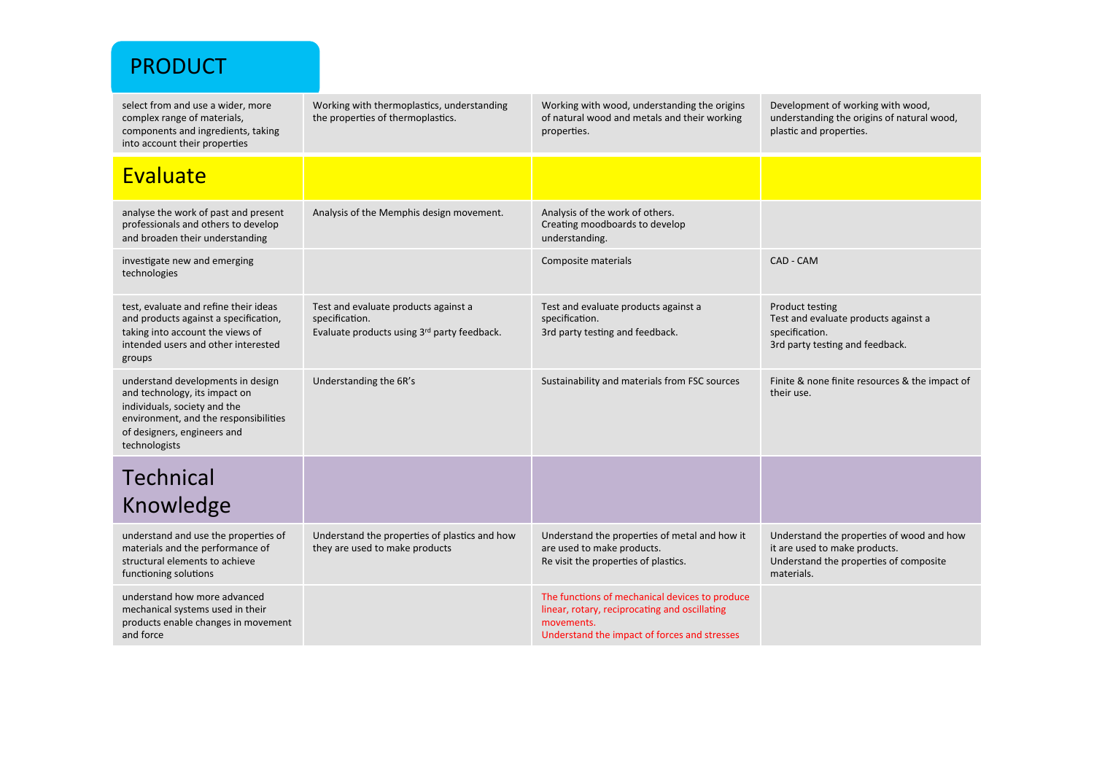| <b>PRODUCT</b>                                                                                                                                                                              |                                                                                                       |                                                                                                                                                               |                                                                                                                                    |
|---------------------------------------------------------------------------------------------------------------------------------------------------------------------------------------------|-------------------------------------------------------------------------------------------------------|---------------------------------------------------------------------------------------------------------------------------------------------------------------|------------------------------------------------------------------------------------------------------------------------------------|
| select from and use a wider, more<br>complex range of materials,<br>components and ingredients, taking<br>into account their properties                                                     | Working with thermoplastics, understanding<br>the properties of thermoplastics.                       | Working with wood, understanding the origins<br>of natural wood and metals and their working<br>properties.                                                   | Development of working with wood,<br>understanding the origins of natural wood,<br>plastic and properties.                         |
| Evaluate                                                                                                                                                                                    |                                                                                                       |                                                                                                                                                               |                                                                                                                                    |
| analyse the work of past and present<br>professionals and others to develop<br>and broaden their understanding                                                                              | Analysis of the Memphis design movement.                                                              | Analysis of the work of others.<br>Creating moodboards to develop<br>understanding.                                                                           |                                                                                                                                    |
| investigate new and emerging<br>technologies                                                                                                                                                |                                                                                                       | Composite materials                                                                                                                                           | CAD - CAM                                                                                                                          |
| test, evaluate and refine their ideas<br>and products against a specification,<br>taking into account the views of<br>intended users and other interested<br>groups                         | Test and evaluate products against a<br>specification.<br>Evaluate products using 3rd party feedback. | Test and evaluate products against a<br>specification.<br>3rd party testing and feedback.                                                                     | Product testing<br>Test and evaluate products against a<br>specification.<br>3rd party testing and feedback.                       |
| understand developments in design<br>and technology, its impact on<br>individuals, society and the<br>environment, and the responsibilities<br>of designers, engineers and<br>technologists | Understanding the 6R's                                                                                | Sustainability and materials from FSC sources                                                                                                                 | Finite & none finite resources & the impact of<br>their use.                                                                       |
| <b>Technical</b>                                                                                                                                                                            |                                                                                                       |                                                                                                                                                               |                                                                                                                                    |
| Knowledge                                                                                                                                                                                   |                                                                                                       |                                                                                                                                                               |                                                                                                                                    |
| understand and use the properties of<br>materials and the performance of<br>structural elements to achieve<br>functioning solutions                                                         | Understand the properties of plastics and how<br>they are used to make products                       | Understand the properties of metal and how it<br>are used to make products.<br>Re visit the properties of plastics.                                           | Understand the properties of wood and how<br>it are used to make products.<br>Understand the properties of composite<br>materials. |
| understand how more advanced<br>mechanical systems used in their<br>products enable changes in movement<br>and force                                                                        |                                                                                                       | The functions of mechanical devices to produce<br>linear, rotary, reciprocating and oscillating<br>movements.<br>Understand the impact of forces and stresses |                                                                                                                                    |